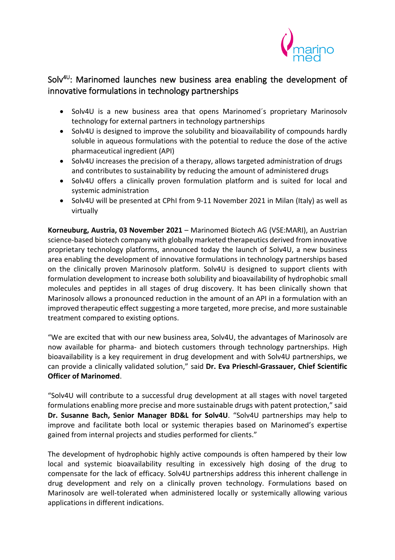

# Solv $40$ : Marinomed launches new business area enabling the development of innovative formulations in technology partnerships

- Solv4U is a new business area that opens Marinomed´s proprietary Marinosolv technology for external partners in technology partnerships
- Solv4U is designed to improve the solubility and bioavailability of compounds hardly soluble in aqueous formulations with the potential to reduce the dose of the active pharmaceutical ingredient (API)
- Solv4U increases the precision of a therapy, allows targeted administration of drugs and contributes to sustainability by reducing the amount of administered drugs
- Solv4U offers a clinically proven formulation platform and is suited for local and systemic administration
- Solv4U will be presented at CPhI from 9-11 November 2021 in Milan (Italy) as well as virtually

**Korneuburg, Austria, 03 November 2021** – Marinomed Biotech AG (VSE:MARI), an Austrian science-based biotech company with globally marketed therapeutics derived from innovative proprietary technology platforms, announced today the launch of Solv4U, a new business area enabling the development of innovative formulations in technology partnerships based on the clinically proven Marinosolv platform. Solv4U is designed to support clients with formulation development to increase both solubility and bioavailability of hydrophobic small molecules and peptides in all stages of drug discovery. It has been clinically shown that Marinosolv allows a pronounced reduction in the amount of an API in a formulation with an improved therapeutic effect suggesting a more targeted, more precise, and more sustainable treatment compared to existing options.

"We are excited that with our new business area, Solv4U, the advantages of Marinosolv are now available for pharma- and biotech customers through technology partnerships. High bioavailability is a key requirement in drug development and with Solv4U partnerships, we can provide a clinically validated solution," said **Dr. Eva Prieschl-Grassauer, Chief Scientific Officer of Marinomed**.

"Solv4U will contribute to a successful drug development at all stages with novel targeted formulations enabling more precise and more sustainable drugs with patent protection," said **Dr. Susanne Bach, Senior Manager BD&L for Solv4U**. "Solv4U partnerships may help to improve and facilitate both local or systemic therapies based on Marinomed's expertise gained from internal projects and studies performed for clients."

The development of hydrophobic highly active compounds is often hampered by their low local and systemic bioavailability resulting in excessively high dosing of the drug to compensate for the lack of efficacy. Solv4U partnerships address this inherent challenge in drug development and rely on a clinically proven technology. Formulations based on Marinosolv are well-tolerated when administered locally or systemically allowing various applications in different indications.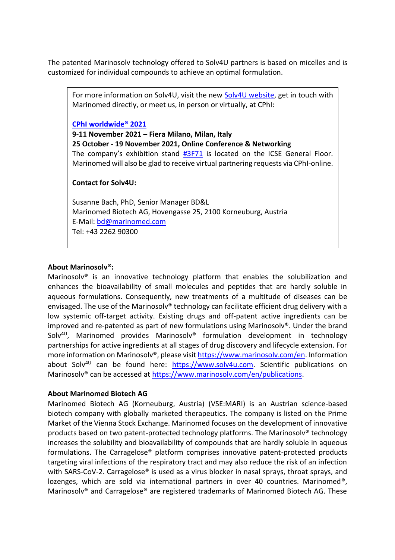The patented Marinosolv technology offered to Solv4U partners is based on micelles and is customized for individual compounds to achieve an optimal formulation.

For more information on Solv4U, visit the new [Solv4U website,](https://www.solv4u.com/) get in touch with Marinomed directly, or meet us, in person or virtually, at CPhI:

**[CPhI worldwide® 2021](https://www.cphi.com/europe/en/home.html)**

**9-11 November 2021 – Fiera Milano, Milan, Italy**

**25 October - 19 November 2021, Online Conference & Networking**  The company's exhibition stand [#3F71](https://l.feathr.co/cphi-worldwide-2021---landing-page---exhibitors-marinomed-biotech-ag) is located on the ICSE General Floor. Marinomed will also be glad to receive virtual partnering requests via CPhI-online.

#### **Contact for Solv4U:**

Susanne Bach, PhD, Senior Manager BD&L Marinomed Biotech AG, Hovengasse 25, 2100 Korneuburg, Austria E-Mail: [bd@marinomed.com](mailto:bd@marinomed.com) Tel: +43 2262 90300

### **About Marinosolv®:**

Marinosolv® is an innovative technology platform that enables the solubilization and enhances the bioavailability of small molecules and peptides that are hardly soluble in aqueous formulations. Consequently, new treatments of a multitude of diseases can be envisaged. The use of the Marinosolv<sup>®</sup> technology can facilitate efficient drug delivery with a low systemic off-target activity. Existing drugs and off-patent active ingredients can be improved and re-patented as part of new formulations using Marinosolv®. Under the brand Solv<sup>4U</sup>, Marinomed provides Marinosolv® formulation development in technology partnerships for active ingredients at all stages of drug discovery and lifecycle extension. For more information on Marinosolv®, please visit [https://www.marinosolv.com/en.](https://www.marinosolv.com/en) Information about Solv<sup>4U</sup> can be found here: [https://www.solv4u.com.](https://www.solv4u.com/) Scientific publications on Marinosolv<sup>®</sup> can be accessed at [https://www.marinosolv.com/en/publications.](https://www.marinosolv.com/en/publications)

#### **About Marinomed Biotech AG**

Marinomed Biotech AG (Korneuburg, Austria) (VSE:MARI) is an Austrian science-based biotech company with globally marketed therapeutics. The company is listed on the Prime Market of the Vienna Stock Exchange. Marinomed focuses on the development of innovative products based on two patent-protected technology platforms. The Marinosolv® technology increases the solubility and bioavailability of compounds that are hardly soluble in aqueous formulations. The Carragelose® platform comprises innovative patent-protected products targeting viral infections of the respiratory tract and may also reduce the risk of an infection with SARS-CoV-2. Carragelose® is used as a virus blocker in nasal sprays, throat sprays, and lozenges, which are sold via international partners in over 40 countries. Marinomed<sup>®</sup>, Marinosolv® and Carragelose® are registered trademarks of Marinomed Biotech AG. These